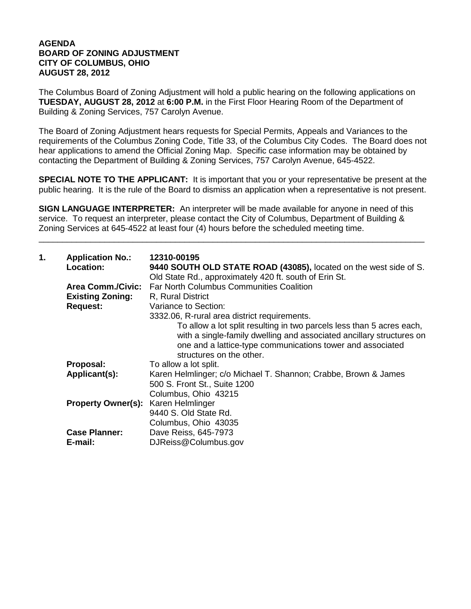## **AGENDA BOARD OF ZONING ADJUSTMENT CITY OF COLUMBUS, OHIO AUGUST 28, 2012**

The Columbus Board of Zoning Adjustment will hold a public hearing on the following applications on **TUESDAY, AUGUST 28, 2012** at **6:00 P.M.** in the First Floor Hearing Room of the Department of Building & Zoning Services, 757 Carolyn Avenue.

The Board of Zoning Adjustment hears requests for Special Permits, Appeals and Variances to the requirements of the Columbus Zoning Code, Title 33, of the Columbus City Codes. The Board does not hear applications to amend the Official Zoning Map. Specific case information may be obtained by contacting the Department of Building & Zoning Services, 757 Carolyn Avenue, 645-4522.

**SPECIAL NOTE TO THE APPLICANT:** It is important that you or your representative be present at the public hearing. It is the rule of the Board to dismiss an application when a representative is not present.

**SIGN LANGUAGE INTERPRETER:** An interpreter will be made available for anyone in need of this service. To request an interpreter, please contact the City of Columbus, Department of Building & Zoning Services at 645-4522 at least four (4) hours before the scheduled meeting time.

\_\_\_\_\_\_\_\_\_\_\_\_\_\_\_\_\_\_\_\_\_\_\_\_\_\_\_\_\_\_\_\_\_\_\_\_\_\_\_\_\_\_\_\_\_\_\_\_\_\_\_\_\_\_\_\_\_\_\_\_\_\_\_\_\_\_\_\_\_\_\_\_\_\_\_\_\_\_\_\_\_\_

| 1. | <b>Application No.:</b><br>Location: | 12310-00195<br>9440 SOUTH OLD STATE ROAD (43085), located on the west side of S.<br>Old State Rd., approximately 420 ft. south of Erin St.                                                                                              |
|----|--------------------------------------|-----------------------------------------------------------------------------------------------------------------------------------------------------------------------------------------------------------------------------------------|
|    | <b>Area Comm./Civic:</b>             | <b>Far North Columbus Communities Coalition</b>                                                                                                                                                                                         |
|    | <b>Existing Zoning:</b>              | R, Rural District                                                                                                                                                                                                                       |
|    | <b>Request:</b>                      | Variance to Section:                                                                                                                                                                                                                    |
|    |                                      | 3332.06, R-rural area district requirements.                                                                                                                                                                                            |
|    |                                      | To allow a lot split resulting in two parcels less than 5 acres each,<br>with a single-family dwelling and associated ancillary structures on<br>one and a lattice-type communications tower and associated<br>structures on the other. |
|    | Proposal:                            | To allow a lot split.                                                                                                                                                                                                                   |
|    | Applicant(s):                        | Karen Helmlinger; c/o Michael T. Shannon; Crabbe, Brown & James<br>500 S. Front St., Suite 1200<br>Columbus, Ohio 43215                                                                                                                 |
|    | <b>Property Owner(s):</b>            | Karen Helmlinger<br>9440 S. Old State Rd.<br>Columbus, Ohio 43035                                                                                                                                                                       |
|    | <b>Case Planner:</b><br>E-mail:      | Dave Reiss, 645-7973<br>DJReiss@Columbus.gov                                                                                                                                                                                            |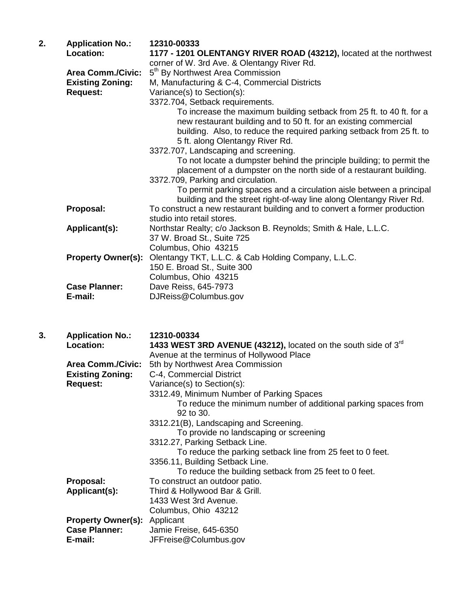| 2. | <b>Application No.:</b>   | 12310-00333                                                                                                                                                                                                       |
|----|---------------------------|-------------------------------------------------------------------------------------------------------------------------------------------------------------------------------------------------------------------|
|    | Location:                 | 1177 - 1201 OLENTANGY RIVER ROAD (43212), located at the northwest                                                                                                                                                |
|    |                           | corner of W. 3rd Ave. & Olentangy River Rd.                                                                                                                                                                       |
|    | <b>Area Comm./Civic:</b>  | 5 <sup>th</sup> By Northwest Area Commission                                                                                                                                                                      |
|    | <b>Existing Zoning:</b>   | M, Manufacturing & C-4, Commercial Districts                                                                                                                                                                      |
|    | <b>Request:</b>           | Variance(s) to Section(s):                                                                                                                                                                                        |
|    |                           | 3372.704, Setback requirements.                                                                                                                                                                                   |
|    |                           | To increase the maximum building setback from 25 ft. to 40 ft. for a<br>new restaurant building and to 50 ft. for an existing commercial<br>building. Also, to reduce the required parking setback from 25 ft. to |
|    |                           | 5 ft. along Olentangy River Rd.                                                                                                                                                                                   |
|    |                           | 3372.707, Landscaping and screening.                                                                                                                                                                              |
|    |                           | To not locate a dumpster behind the principle building; to permit the<br>placement of a dumpster on the north side of a restaurant building.                                                                      |
|    |                           | 3372.709, Parking and circulation.                                                                                                                                                                                |
|    |                           | To permit parking spaces and a circulation aisle between a principal<br>building and the street right-of-way line along Olentangy River Rd.                                                                       |
|    | Proposal:                 | To construct a new restaurant building and to convert a former production<br>studio into retail stores.                                                                                                           |
|    | Applicant(s):             | Northstar Realty; c/o Jackson B. Reynolds; Smith & Hale, L.L.C.<br>37 W. Broad St., Suite 725                                                                                                                     |
|    |                           | Columbus, Ohio 43215                                                                                                                                                                                              |
|    | <b>Property Owner(s):</b> | Olentangy TKT, L.L.C. & Cab Holding Company, L.L.C.                                                                                                                                                               |
|    |                           | 150 E. Broad St., Suite 300                                                                                                                                                                                       |
|    |                           | Columbus, Ohio 43215                                                                                                                                                                                              |
|    | <b>Case Planner:</b>      | Dave Reiss, 645-7973                                                                                                                                                                                              |
|    | E-mail:                   | DJReiss@Columbus.gov                                                                                                                                                                                              |

| 3. | <b>Application No.:</b>             | 12310-00334                                                         |
|----|-------------------------------------|---------------------------------------------------------------------|
|    | Location:                           | 1433 WEST 3RD AVENUE (43212), located on the south side of $3^{rd}$ |
|    |                                     | Avenue at the terminus of Hollywood Place                           |
|    | <b>Area Comm./Civic:</b>            | 5th by Northwest Area Commission                                    |
|    | <b>Existing Zoning:</b>             | C-4, Commercial District                                            |
|    | <b>Request:</b>                     | Variance(s) to Section(s):                                          |
|    |                                     | 3312.49, Minimum Number of Parking Spaces                           |
|    |                                     | To reduce the minimum number of additional parking spaces from      |
|    |                                     | $92$ to $30.$                                                       |
|    |                                     | 3312.21(B), Landscaping and Screening.                              |
|    |                                     | To provide no landscaping or screening                              |
|    |                                     | 3312.27, Parking Setback Line.                                      |
|    |                                     | To reduce the parking setback line from 25 feet to 0 feet.          |
|    |                                     | 3356.11, Building Setback Line.                                     |
|    |                                     | To reduce the building setback from 25 feet to 0 feet.              |
|    | Proposal:                           | To construct an outdoor patio.                                      |
|    | Applicant(s):                       | Third & Hollywood Bar & Grill.                                      |
|    |                                     | 1433 West 3rd Avenue.                                               |
|    |                                     | Columbus, Ohio 43212                                                |
|    | <b>Property Owner(s):</b> Applicant |                                                                     |
|    | <b>Case Planner:</b>                | Jamie Freise, 645-6350                                              |
|    | E-mail:                             | JFFreise@Columbus.gov                                               |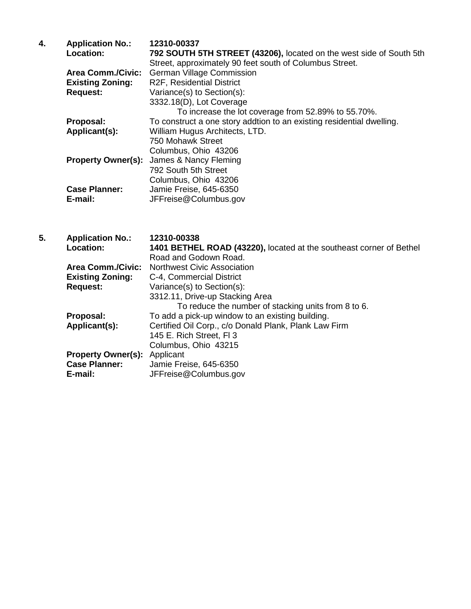| 4. | <b>Application No.:</b>   | 12310-00337                                                           |
|----|---------------------------|-----------------------------------------------------------------------|
|    | <b>Location:</b>          | 792 SOUTH 5TH STREET (43206), located on the west side of South 5th   |
|    |                           | Street, approximately 90 feet south of Columbus Street.               |
|    | <b>Area Comm./Civic:</b>  | <b>German Village Commission</b>                                      |
|    | <b>Existing Zoning:</b>   | R2F, Residential District                                             |
|    | <b>Request:</b>           | Variance(s) to Section(s):                                            |
|    |                           | 3332.18(D), Lot Coverage                                              |
|    |                           | To increase the lot coverage from 52.89% to 55.70%.                   |
|    | Proposal:                 | To construct a one story addtion to an existing residential dwelling. |
|    | Applicant(s):             | William Hugus Architects, LTD.                                        |
|    |                           | 750 Mohawk Street                                                     |
|    |                           | Columbus, Ohio 43206                                                  |
|    | <b>Property Owner(s):</b> | James & Nancy Fleming                                                 |
|    |                           | 792 South 5th Street                                                  |
|    |                           | Columbus, Ohio 43206                                                  |
|    | <b>Case Planner:</b>      | Jamie Freise, 645-6350                                                |
|    | E-mail:                   | JFFreise@Columbus.gov                                                 |

| 5. | <b>Application No.:</b>             | 12310-00338                                                         |
|----|-------------------------------------|---------------------------------------------------------------------|
|    | <b>Location:</b>                    | 1401 BETHEL ROAD (43220), located at the southeast corner of Bethel |
|    |                                     | Road and Godown Road.                                               |
|    | <b>Area Comm./Civic:</b>            | <b>Northwest Civic Association</b>                                  |
|    | <b>Existing Zoning:</b>             | C-4, Commercial District                                            |
|    | <b>Request:</b>                     | Variance(s) to Section(s):                                          |
|    |                                     | 3312.11, Drive-up Stacking Area                                     |
|    |                                     | To reduce the number of stacking units from 8 to 6.                 |
|    | Proposal:                           | To add a pick-up window to an existing building.                    |
|    | Applicant(s):                       | Certified Oil Corp., c/o Donald Plank, Plank Law Firm               |
|    |                                     | 145 E. Rich Street, FI 3                                            |
|    |                                     | Columbus, Ohio 43215                                                |
|    | <b>Property Owner(s):</b> Applicant |                                                                     |
|    | <b>Case Planner:</b>                | Jamie Freise, 645-6350                                              |
|    | E-mail:                             | JFFreise@Columbus.gov                                               |
|    |                                     |                                                                     |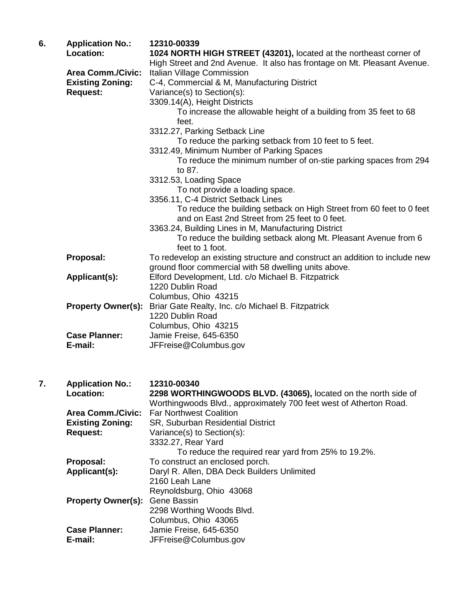| 6. | <b>Application No.:</b><br>Location: | 12310-00339<br>1024 NORTH HIGH STREET (43201), located at the northeast corner of |
|----|--------------------------------------|-----------------------------------------------------------------------------------|
|    |                                      | High Street and 2nd Avenue. It also has frontage on Mt. Pleasant Avenue.          |
|    | <b>Area Comm./Civic:</b>             | Italian Village Commission                                                        |
|    | <b>Existing Zoning:</b>              | C-4, Commercial & M, Manufacturing District                                       |
|    | <b>Request:</b>                      | Variance(s) to Section(s):                                                        |
|    |                                      | 3309.14(A), Height Districts                                                      |
|    |                                      | To increase the allowable height of a building from 35 feet to 68<br>feet.        |
|    |                                      | 3312.27, Parking Setback Line                                                     |
|    |                                      | To reduce the parking setback from 10 feet to 5 feet.                             |
|    |                                      | 3312.49, Minimum Number of Parking Spaces                                         |
|    |                                      | To reduce the minimum number of on-stie parking spaces from 294                   |
|    |                                      | to 87.                                                                            |
|    |                                      | 3312.53, Loading Space                                                            |
|    |                                      | To not provide a loading space.                                                   |
|    |                                      | 3356.11, C-4 District Setback Lines                                               |
|    |                                      | To reduce the building setback on High Street from 60 feet to 0 feet              |
|    |                                      | and on East 2nd Street from 25 feet to 0 feet.                                    |
|    |                                      | 3363.24, Building Lines in M, Manufacturing District                              |
|    |                                      | To reduce the building setback along Mt. Pleasant Avenue from 6                   |
|    |                                      | feet to 1 foot.                                                                   |
|    | Proposal:                            | To redevelop an existing structure and construct an addition to include new       |
|    |                                      | ground floor commercial with 58 dwelling units above.                             |
|    | Applicant(s):                        | Elford Development, Ltd. c/o Michael B. Fitzpatrick                               |
|    |                                      | 1220 Dublin Road                                                                  |
|    |                                      | Columbus, Ohio 43215                                                              |
|    | <b>Property Owner(s):</b>            | Briar Gate Realty, Inc. c/o Michael B. Fitzpatrick                                |
|    |                                      | 1220 Dublin Road                                                                  |
|    |                                      | Columbus, Ohio 43215                                                              |
|    | <b>Case Planner:</b>                 | Jamie Freise, 645-6350                                                            |
|    | E-mail:                              | JFFreise@Columbus.gov                                                             |
|    |                                      |                                                                                   |
|    |                                      |                                                                                   |
|    |                                      |                                                                                   |
| 7. | <b>Application No.:</b>              | 12310-00340                                                                       |
|    | Location:                            | 2298 WORTHINGWOODS BLVD. (43065), located on the north side of                    |
|    |                                      | Worthingwoods Blvd., approximately 700 feet west of Atherton Road.                |
|    | <b>Area Comm./Civic:</b>             | <b>Far Northwest Coalition</b>                                                    |
|    | <b>Existing Zoning:</b>              | SR, Suburban Residential District                                                 |
|    | <b>Request:</b>                      | Variance(s) to Section(s):                                                        |
|    |                                      | 3332.27, Rear Yard                                                                |
|    |                                      | To reduce the required rear yard from 25% to 10.2%.                               |

To reduce the required rear yard from 25% to 19.2%. **Proposal:** To construct an enclosed porch.<br>**Applicant(s):** Daryl R. Allen, DBA Deck Builder Daryl R. Allen, DBA Deck Builders Unlimited 2160 Leah Lane Reynoldsburg, Ohio 43068 **Property Owner(s):** Gene Bassin 2298 Worthing Woods Blvd. Columbus, Ohio 43065 Case Planner: Jamie Freise, 645-6350<br>**E-mail:** JFFreise@Columbus.go **E-mail:** JFFreise@Columbus.gov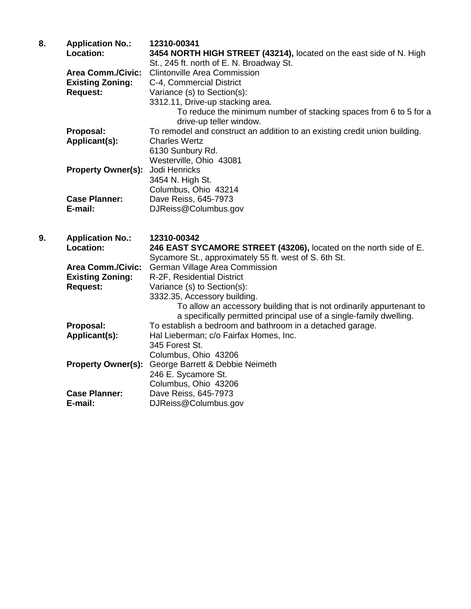| 8. | <b>Application No.:</b><br>Location: | 12310-00341<br>3454 NORTH HIGH STREET (43214), located on the east side of N. High<br>St., 245 ft. north of E. N. Broadway St. |
|----|--------------------------------------|--------------------------------------------------------------------------------------------------------------------------------|
|    | <b>Area Comm./Civic:</b>             | <b>Clintonville Area Commission</b>                                                                                            |
|    | <b>Existing Zoning:</b>              | C-4, Commercial District                                                                                                       |
|    | <b>Request:</b>                      | Variance (s) to Section(s):                                                                                                    |
|    |                                      | 3312.11, Drive-up stacking area.                                                                                               |
|    |                                      | To reduce the minimum number of stacking spaces from 6 to 5 for a<br>drive-up teller window.                                   |
|    | Proposal:                            | To remodel and construct an addition to an existing credit union building.                                                     |
|    | Applicant(s):                        | <b>Charles Wertz</b>                                                                                                           |
|    |                                      | 6130 Sunbury Rd.                                                                                                               |
|    |                                      | Westerville, Ohio 43081                                                                                                        |
|    | <b>Property Owner(s):</b>            | Jodi Henricks                                                                                                                  |
|    |                                      | 3454 N. High St.                                                                                                               |
|    |                                      | Columbus, Ohio 43214                                                                                                           |
|    | <b>Case Planner:</b>                 | Dave Reiss, 645-7973                                                                                                           |
|    | E-mail:                              | DJReiss@Columbus.gov                                                                                                           |
| 9. | <b>Application No.:</b>              | 12310-00342                                                                                                                    |
|    | <b>Location:</b>                     | 246 EAST SYCAMORE STREET (43206), located on the north side of E.                                                              |
|    |                                      | Sycamore St., approximately 55 ft. west of S. 6th St.                                                                          |
|    | <b>Area Comm./Civic:</b>             | German Village Area Commission                                                                                                 |
|    | <b>Existing Zoning:</b>              | R-2F, Residential District                                                                                                     |
|    | <b>Request:</b>                      | Variance (s) to Section(s):                                                                                                    |
|    |                                      | 3332.35, Accessory building.                                                                                                   |
|    |                                      | To allow an accessory building that is not ordinarily appurtenant to                                                           |
|    |                                      | a specifically permitted principal use of a single-family dwelling.                                                            |
|    | Proposal:                            | To establish a bedroom and bathroom in a detached garage.                                                                      |
|    | Applicant(s):                        | Hal Lieberman; c/o Fairfax Homes, Inc.                                                                                         |

345 Forest St.

**Property Owner(s):** George Barrett & Debbie Neimeth

**Case Planner:** Dave Reiss, 645-7973<br> **E-mail:** DJReiss@Columbus.qu

Columbus, Ohio 43206

**E-mail:** DJReiss@Columbus.gov

246 E. Sycamore St. Columbus, Ohio 43206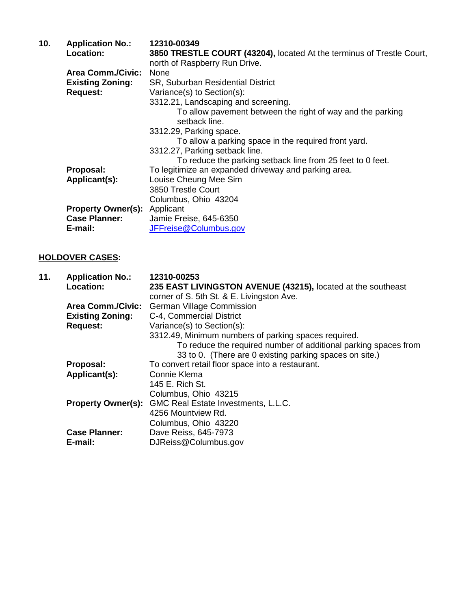| 10. | <b>Application No.:</b>             | 12310-00349                                                                                            |
|-----|-------------------------------------|--------------------------------------------------------------------------------------------------------|
|     | Location:                           | 3850 TRESTLE COURT (43204), located At the terminus of Trestle Court,<br>north of Raspberry Run Drive. |
|     | <b>Area Comm./Civic:</b>            | None                                                                                                   |
|     | <b>Existing Zoning:</b>             | SR, Suburban Residential District                                                                      |
|     | <b>Request:</b>                     | Variance(s) to Section(s):                                                                             |
|     |                                     | 3312.21, Landscaping and screening.                                                                    |
|     |                                     | To allow pavement between the right of way and the parking<br>setback line.                            |
|     |                                     | 3312.29, Parking space.                                                                                |
|     |                                     | To allow a parking space in the required front yard.                                                   |
|     |                                     | 3312.27, Parking setback line.                                                                         |
|     |                                     | To reduce the parking setback line from 25 feet to 0 feet.                                             |
|     | Proposal:                           | To legitimize an expanded driveway and parking area.                                                   |
|     | Applicant(s):                       | Louise Cheung Mee Sim                                                                                  |
|     |                                     | 3850 Trestle Court                                                                                     |
|     |                                     | Columbus, Ohio 43204                                                                                   |
|     | <b>Property Owner(s):</b> Applicant |                                                                                                        |
|     | <b>Case Planner:</b>                | Jamie Freise, 645-6350                                                                                 |
|     | E-mail:                             | JFFreise@Columbus.gov                                                                                  |

## **HOLDOVER CASES:**

| 11. | <b>Application No.:</b>   | 12310-00253                                                     |
|-----|---------------------------|-----------------------------------------------------------------|
|     | <b>Location:</b>          | 235 EAST LIVINGSTON AVENUE (43215), located at the southeast    |
|     |                           | corner of S. 5th St. & E. Livingston Ave.                       |
|     | <b>Area Comm./Civic:</b>  | <b>German Village Commission</b>                                |
|     | <b>Existing Zoning:</b>   | C-4, Commercial District                                        |
|     | <b>Request:</b>           | Variance(s) to Section(s):                                      |
|     |                           | 3312.49, Minimum numbers of parking spaces required.            |
|     |                           | To reduce the required number of additional parking spaces from |
|     |                           | 33 to 0. (There are 0 existing parking spaces on site.)         |
|     | Proposal:                 | To convert retail floor space into a restaurant.                |
|     | Applicant(s):             | Connie Klema                                                    |
|     |                           | 145 E. Rich St.                                                 |
|     |                           | Columbus, Ohio 43215                                            |
|     | <b>Property Owner(s):</b> | GMC Real Estate Investments, L.L.C.                             |
|     |                           | 4256 Mountview Rd.                                              |
|     |                           | Columbus, Ohio 43220                                            |
|     | <b>Case Planner:</b>      | Dave Reiss, 645-7973                                            |
|     | E-mail:                   | DJReiss@Columbus.gov                                            |
|     |                           |                                                                 |